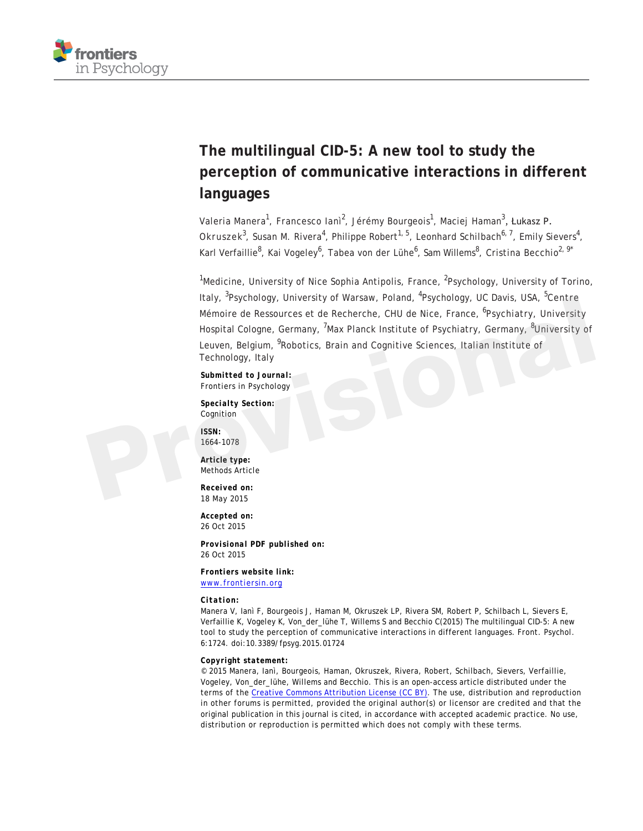

## **The multilingual CID-5: A new tool to study the perception of communicative interactions in different languages**

Valeria Manera<sup>1</sup>, Francesco Ianì<sup>2</sup>, Jérémy Bourgeois<sup>1</sup>, Maciej Haman<sup>3</sup>, Łukasz P. Okruszek<sup>3</sup>, Susan M. Rivera<sup>4</sup>, Philippe Robert<sup>1, 5</sup>, Leonhard Schilbach<sup>6, 7</sup>, Emily Sievers<sup>4</sup>, Karl Verfaillie<sup>8</sup>, Kai Vogeley<sup>6</sup>, Tabea von der Lühe<sup>6</sup>, Sam Willems<sup>8</sup>, Cristina Becchio<sup>2, 9\*</sup>

<sup>1</sup>Medicine, University of Nice Sophia Antipolis, France, <sup>2</sup>Psychology, University of Torino, Italy, <sup>3</sup>Psychology, University of Warsaw, Poland, <sup>4</sup>Psychology, UC Davis, USA, <sup>5</sup>Centre Mémoire de Ressources et de Recherche, CHU de Nice, France, <sup>6</sup>Psychiatry, University Hospital Cologne, Germany, <sup>7</sup>Max Planck Institute of Psychiatry, Germany, <sup>8</sup>University of Leuven, Belgium, <sup>9</sup>Robotics, Brain and Cognitive Sciences, Italian Institute of Technology, Italy Italy, "Psychology, University of Warsaw, Poland, "Psychology, UC Davis, USA, "Centre<br>
Mémoire de Ressources et de Recherche, CHU de Nice, France, <sup>6</sup>Psychiatry, University<br>
Hospital Cologne, Germany, <sup>7</sup>Max Planck Institu

*Submitted to Journal:* Frontiers in Psychology

*Specialty Section:* Cognition

*ISSN:* 1664-1078

*Article type:* Methods Article

*Received on:* 18 May 2015

*Accepted on:* 26 Oct 2015

*Provisional PDF published on:* 26 Oct 2015

*Frontiers website link:* [www.frontiersin.org](http://www.frontiersin.org/)

#### *Citation:*

Manera V, Ianì F, Bourgeois J, Haman M, Okruszek LP, Rivera SM, Robert P, Schilbach L, Sievers E, Verfaillie K, Vogeley K, Von\_der\_lühe T, Willems S and Becchio C(2015) The multilingual CID-5: A new tool to study the perception of communicative interactions in different languages. *Front. Psychol.* 6:1724. doi:10.3389/fpsyg.2015.01724

*Copyright statement:*

© 2015 Manera, Ianì, Bourgeois, Haman, Okruszek, Rivera, Robert, Schilbach, Sievers, Verfaillie, Vogeley, Von\_der\_lühe, Willems and Becchio. This is an open-access article distributed under the terms of the [Creative Commons Attribution License \(CC BY\).](http://creativecommons.org/licenses/by/4.0/) The use, distribution and reproduction in other forums is permitted, provided the original author(s) or licensor are credited and that the original publication in this journal is cited, in accordance with accepted academic practice. No use, distribution or reproduction is permitted which does not comply with these terms.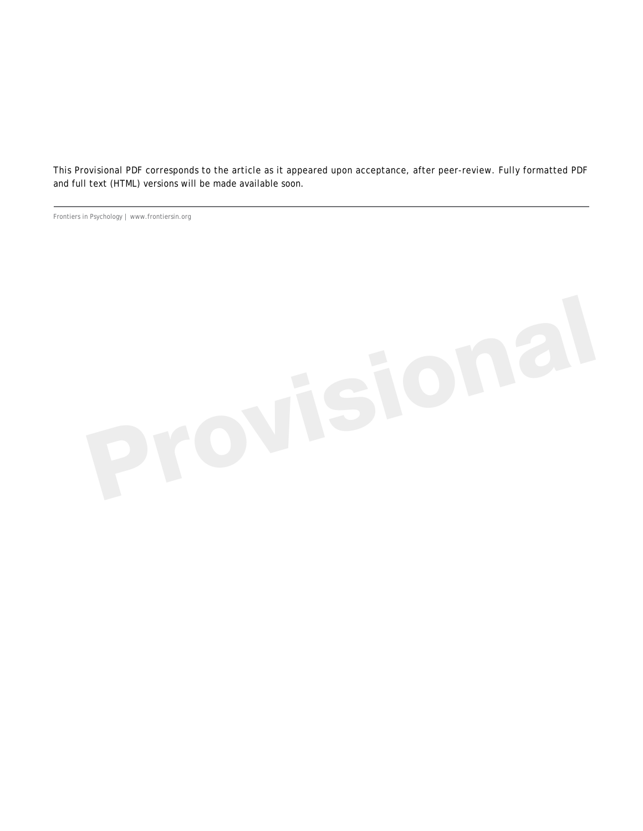This Provisional PDF corresponds to the article as it appeared upon acceptance, after peer-review. Fully formatted PDF and full text (HTML) versions will be made available soon.

Frontiers in Psychology | www.frontiersin.org

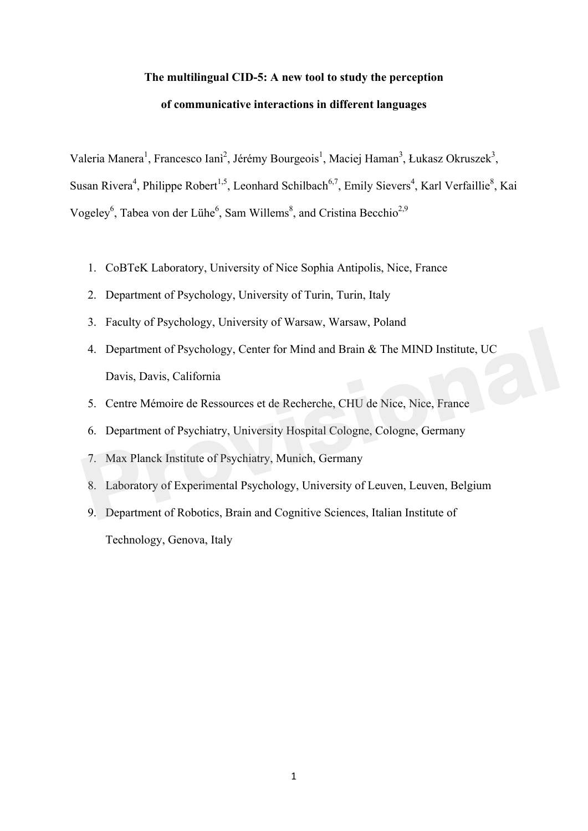# **The multilingual CID-5: A new tool to study the perception of communicative interactions in different languages**

Valeria Manera<sup>1</sup>, Francesco Ianì<sup>2</sup>, Jérémy Bourgeois<sup>1</sup>, Maciej Haman<sup>3</sup>, Łukasz Okruszek<sup>3</sup>, Susan Rivera<sup>4</sup>, Philippe Robert<sup>1,5</sup>, Leonhard Schilbach<sup>6,7</sup>, Emily Sievers<sup>4</sup>, Karl Verfaillie<sup>8</sup>, Kai Vogeley<sup>6</sup>, Tabea von der Lühe<sup>6</sup>, Sam Willems<sup>8</sup>, and Cristina Becchio<sup>2,9</sup>

- 1. CoBTeK Laboratory, University of Nice Sophia Antipolis, Nice, France
- 2. Department of Psychology, University of Turin, Turin, Italy
- 3. Faculty of Psychology, University of Warsaw, Warsaw, Poland
- 4. Department of Psychology, Center for Mind and Brain & The MIND Institute, UC Davis, Davis, California 9. Department of Psychology, Center for Mind and Brain & The MIND Institute, UC<br>Davis, Davis, California<br>5. Centre Mémoire de Ressources et de Recherche, CHU de Nice, Nice, France<br>6. Department of Psychiatry, University Ho
- 5. Centre Mémoire de Ressources et de Recherche, CHU de Nice, Nice, France
- 6. Department of Psychiatry, University Hospital Cologne, Cologne, Germany
- 7. Max Planck Institute of Psychiatry, Munich, Germany
- 8. Laboratory of Experimental Psychology, University of Leuven, Leuven, Belgium
- Technology, Genova, Italy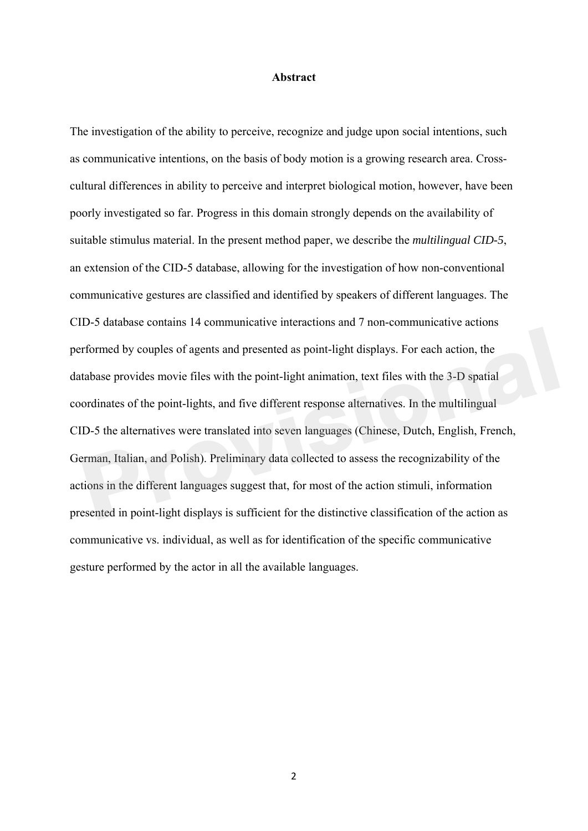#### **Abstract**

The investigation of the ability to perceive, recognize and judge upon social intentions, such as communicative intentions, on the basis of body motion is a growing research area. Crosscultural differences in ability to perceive and interpret biological motion, however, have been poorly investigated so far. Progress in this domain strongly depends on the availability of suitable stimulus material. In the present method paper, we describe the *multilingual CID-5*, an extension of the CID-5 database, allowing for the investigation of how non-conventional communicative gestures are classified and identified by speakers of different languages. The CID-5 database contains 14 communicative interactions and 7 non-communicative actions performed by couples of agents and presented as point-light displays. For each action, the database provides movie files with the point-light animation, text files with the 3-D spatial coordinates of the point-lights, and five different response alternatives. In the multilingual CID-5 the alternatives were translated into seven languages (Chinese, Dutch, English, French, German, Italian, and Polish). Preliminary data collected to assess the recognizability of the actions in the different languages suggest that, for most of the action stimuli, information presented in point-light displays is sufficient for the distinctive classification of the action as communicative vs. individual, as well as for identification of the specific communicative gesture performed by the actor in all the available languages. formed by couples of agents and presented as point-light displays. For each action, the tabase provides movie files with the point-light animation, text files with the 3-D spatial ordinates of the point-lights, and five di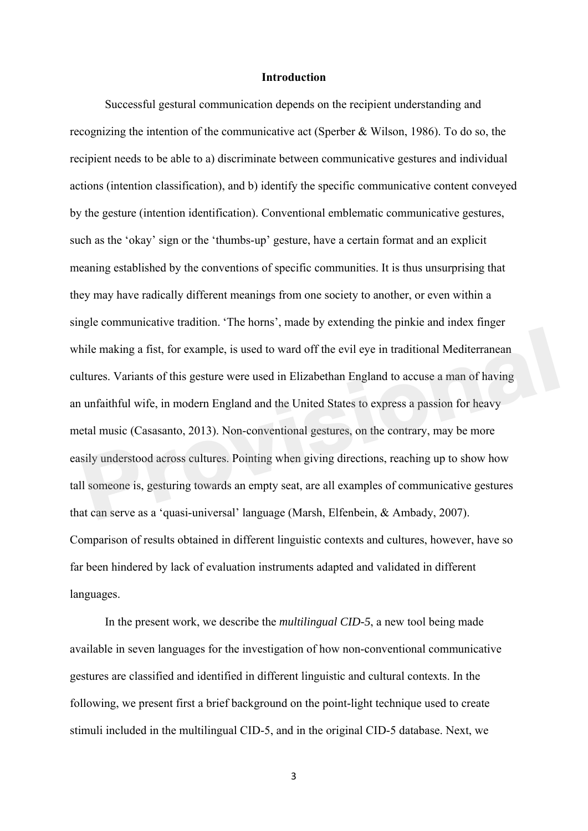## **Introduction**

Successful gestural communication depends on the recipient understanding and recognizing the intention of the communicative act (Sperber & Wilson, 1986). To do so, the recipient needs to be able to a) discriminate between communicative gestures and individual actions (intention classification), and b) identify the specific communicative content conveyed by the gesture (intention identification). Conventional emblematic communicative gestures, such as the 'okay' sign or the 'thumbs-up' gesture, have a certain format and an explicit meaning established by the conventions of specific communities. It is thus unsurprising that they may have radically different meanings from one society to another, or even within a single communicative tradition. 'The horns', made by extending the pinkie and index finger while making a fist, for example, is used to ward off the evil eye in traditional Mediterranean cultures. Variants of this gesture were used in Elizabethan England to accuse a man of having an unfaithful wife, in modern England and the United States to express a passion for heavy metal music (Casasanto, 2013). Non-conventional gestures, on the contrary, may be more easily understood across cultures. Pointing when giving directions, reaching up to show how tall someone is, gesturing towards an empty seat, are all examples of communicative gestures that can serve as a 'quasi-universal' language (Marsh, Elfenbein, & Ambady, 2007). Comparison of results obtained in different linguistic contexts and cultures, however, have so far been hindered by lack of evaluation instruments adapted and validated in different languages. ile making a fist, for example, is used to ward off the evil eye in traditional Mediterranean<br>Itures. Variants of this gesture were used in Elizabethan England to accuse a man of having<br>unfaithful wife, in modern England a

In the present work, we describe the *multilingual CID-5*, a new tool being made available in seven languages for the investigation of how non-conventional communicative gestures are classified and identified in different linguistic and cultural contexts. In the following, we present first a brief background on the point-light technique used to create stimuli included in the multilingual CID-5, and in the original CID-5 database. Next, we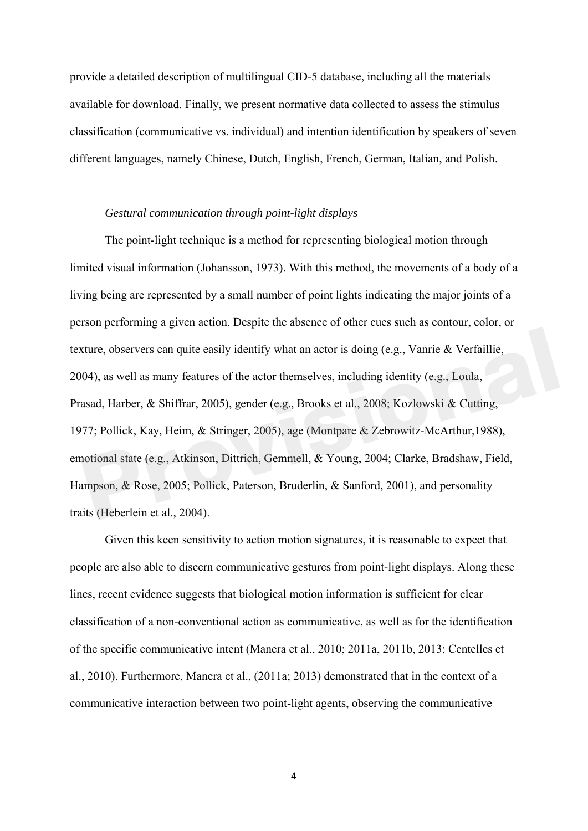provide a detailed description of multilingual CID-5 database, including all the materials available for download. Finally, we present normative data collected to assess the stimulus classification (communicative vs. individual) and intention identification by speakers of seven different languages, namely Chinese, Dutch, English, French, German, Italian, and Polish.

#### *Gestural communication through point-light displays*

The point-light technique is a method for representing biological motion through limited visual information (Johansson, 1973). With this method, the movements of a body of a living being are represented by a small number of point lights indicating the major joints of a person performing a given action. Despite the absence of other cues such as contour, color, or texture, observers can quite easily identify what an actor is doing (e.g., Vanrie & Verfaillie, 2004), as well as many features of the actor themselves, including identity (e.g., Loula, Prasad, Harber, & Shiffrar, 2005), gender (e.g., Brooks et al., 2008; Kozlowski & Cutting, 1977; Pollick, Kay, Heim, & Stringer, 2005), age (Montpare & Zebrowitz-McArthur,1988), emotional state (e.g., Atkinson, Dittrich, Gemmell, & Young, 2004; Clarke, Bradshaw, Field, Hampson, & Rose, 2005; Pollick, Paterson, Bruderlin, & Sanford, 2001), and personality traits (Heberlein et al., 2004). xture, observers can quite easily identify what an actor is doing (e.g., Vanrie & Verfaillie, 04), as well as many features of the actor themselves, including identity (e.g., Loula, asad, Harber, & Shiffrar, 2005), gender

Given this keen sensitivity to action motion signatures, it is reasonable to expect that people are also able to discern communicative gestures from point-light displays. Along these lines, recent evidence suggests that biological motion information is sufficient for clear classification of a non-conventional action as communicative, as well as for the identification of the specific communicative intent (Manera et al., 2010; 2011a, 2011b, 2013; Centelles et al., 2010). Furthermore, Manera et al., (2011a; 2013) demonstrated that in the context of a communicative interaction between two point-light agents, observing the communicative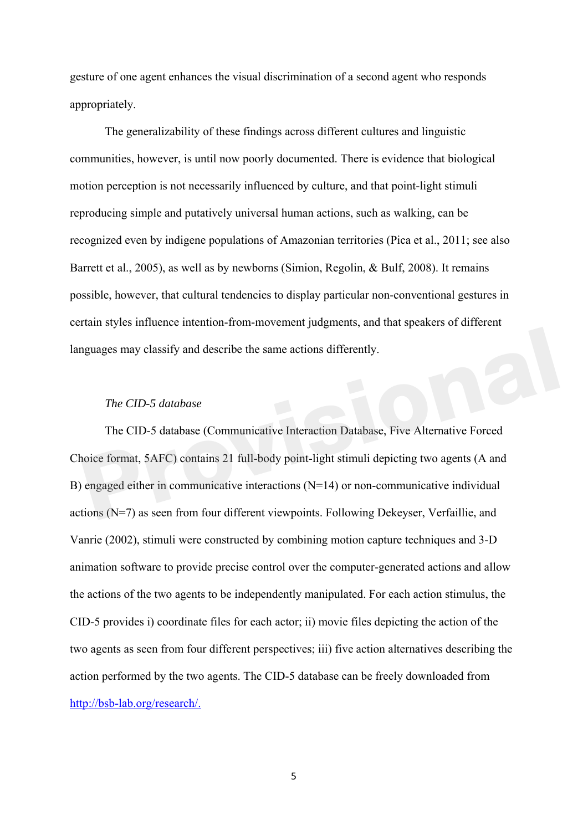gesture of one agent enhances the visual discrimination of a second agent who responds appropriately.

The generalizability of these findings across different cultures and linguistic communities, however, is until now poorly documented. There is evidence that biological motion perception is not necessarily influenced by culture, and that point-light stimuli reproducing simple and putatively universal human actions, such as walking, can be recognized even by indigene populations of Amazonian territories (Pica et al., 2011; see also Barrett et al., 2005), as well as by newborns (Simion, Regolin, & Bulf, 2008). It remains possible, however, that cultural tendencies to display particular non-conventional gestures in certain styles influence intention-from-movement judgments, and that speakers of different languages may classify and describe the same actions differently.

### *The CID-5 database*

The CID-5 database (Communicative Interaction Database, Five Alternative Forced Choice format, 5AFC) contains 21 full-body point-light stimuli depicting two agents (A and B) engaged either in communicative interactions (N=14) or non-communicative individual actions (N=7) as seen from four different viewpoints. Following Dekeyser, Verfaillie, and Vanrie (2002), stimuli were constructed by combining motion capture techniques and 3-D animation software to provide precise control over the computer-generated actions and allow the actions of the two agents to be independently manipulated. For each action stimulus, the CID-5 provides i) coordinate files for each actor; ii) movie files depicting the action of the two agents as seen from four different perspectives; iii) five action alternatives describing the action performed by the two agents. The CID-5 database can be freely downloaded from http://bsb-lab.org/research/. provides the same actions differently.<br>
The CID-5 database<br>
The CID-5 database (Communicative Interaction Database, Five Alternative Forced<br>
poice format, 5AFC) contains 21 full-body point-light stimuli depicting two agent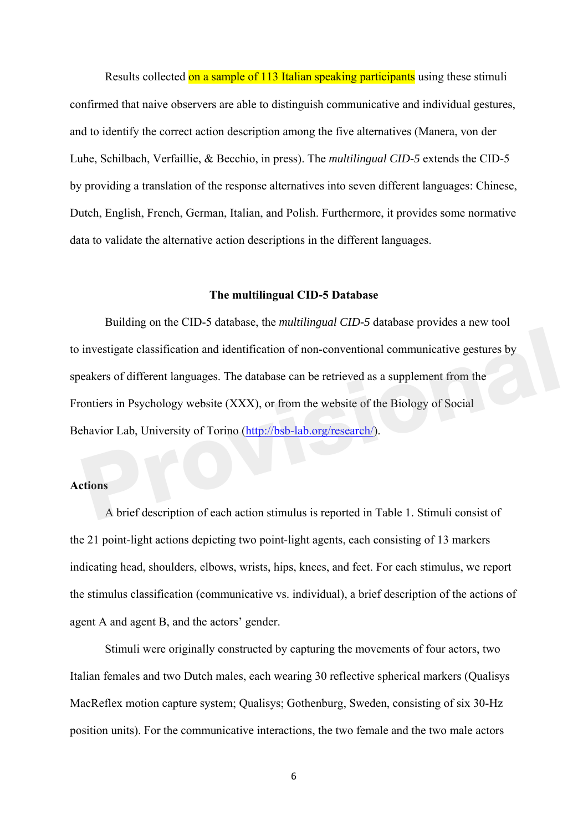Results collected on a sample of 113 Italian speaking participants using these stimuli confirmed that naive observers are able to distinguish communicative and individual gestures, and to identify the correct action description among the five alternatives (Manera, von der Luhe, Schilbach, Verfaillie, & Becchio, in press). The *multilingual CID-5* extends the CID-5 by providing a translation of the response alternatives into seven different languages: Chinese, Dutch, English, French, German, Italian, and Polish. Furthermore, it provides some normative data to validate the alternative action descriptions in the different languages.

#### **The multilingual CID-5 Database**

Building on the CID-5 database, the *multilingual CID-5* database provides a new tool to investigate classification and identification of non-conventional communicative gestures by speakers of different languages. The database can be retrieved as a supplement from the Frontiers in Psychology website (XXX), or from the website of the Biology of Social Behavior Lab, University of Torino (http://bsb-lab.org/research/). investigate classification and identification of non-conventional communicative gestures by<br>eakers of different languages. The database can be retrieved as a supplement from the<br>ontiers in Psychology website (XXX), or from

## **Actions**

A brief description of each action stimulus is reported in Table 1. Stimuli consist of the 21 point-light actions depicting two point-light agents, each consisting of 13 markers indicating head, shoulders, elbows, wrists, hips, knees, and feet. For each stimulus, we report the stimulus classification (communicative vs. individual), a brief description of the actions of agent A and agent B, and the actors' gender.

Stimuli were originally constructed by capturing the movements of four actors, two Italian females and two Dutch males, each wearing 30 reflective spherical markers (Qualisys MacReflex motion capture system; Qualisys; Gothenburg, Sweden, consisting of six 30-Hz position units). For the communicative interactions, the two female and the two male actors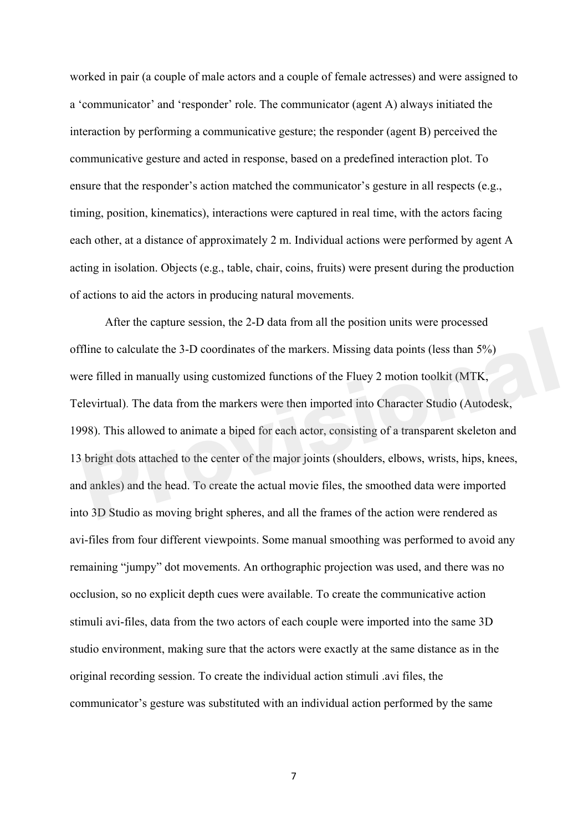worked in pair (a couple of male actors and a couple of female actresses) and were assigned to a 'communicator' and 'responder' role. The communicator (agent A) always initiated the interaction by performing a communicative gesture; the responder (agent B) perceived the communicative gesture and acted in response, based on a predefined interaction plot. To ensure that the responder's action matched the communicator's gesture in all respects (e.g., timing, position, kinematics), interactions were captured in real time, with the actors facing each other, at a distance of approximately 2 m. Individual actions were performed by agent A acting in isolation. Objects (e.g., table, chair, coins, fruits) were present during the production of actions to aid the actors in producing natural movements.

After the capture session, the 2-D data from all the position units were processed offline to calculate the 3-D coordinates of the markers. Missing data points (less than 5%) were filled in manually using customized functions of the Fluey 2 motion toolkit (MTK, Televirtual). The data from the markers were then imported into Character Studio (Autodesk, 1998). This allowed to animate a biped for each actor, consisting of a transparent skeleton and 13 bright dots attached to the center of the major joints (shoulders, elbows, wrists, hips, knees, and ankles) and the head. To create the actual movie files, the smoothed data were imported into 3D Studio as moving bright spheres, and all the frames of the action were rendered as avi-files from four different viewpoints. Some manual smoothing was performed to avoid any remaining "jumpy" dot movements. An orthographic projection was used, and there was no occlusion, so no explicit depth cues were available. To create the communicative action stimuli avi-files, data from the two actors of each couple were imported into the same 3D studio environment, making sure that the actors were exactly at the same distance as in the original recording session. To create the individual action stimuli .avi files, the communicator's gesture was substituted with an individual action performed by the same Filne to calculate the 3-D coordinates of the markers. Missing data points (less than 5%)<br>
Pre filled in manually using customized functions of the Fluey 2 motion toolkit (MTK,<br>
Provintual). The data from the markers were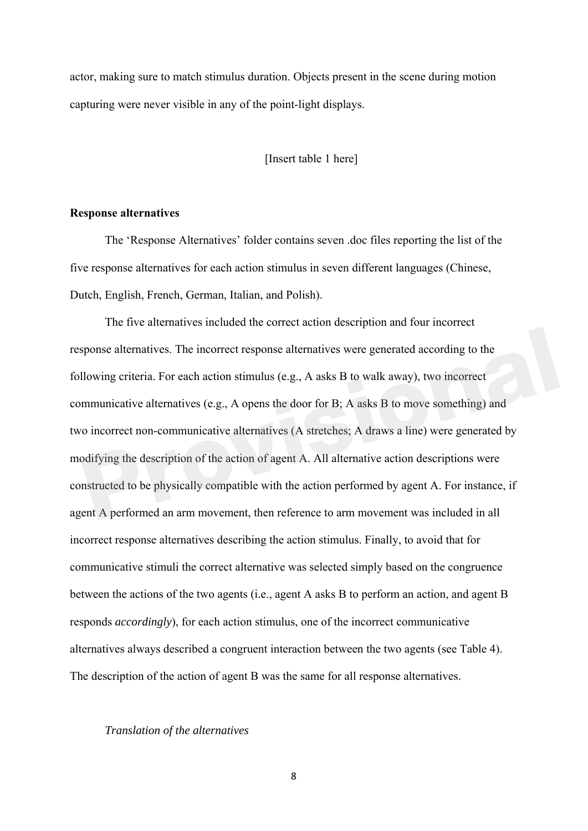actor, making sure to match stimulus duration. Objects present in the scene during motion capturing were never visible in any of the point-light displays.

[Insert table 1 here]

#### **Response alternatives**

The 'Response Alternatives' folder contains seven .doc files reporting the list of the five response alternatives for each action stimulus in seven different languages (Chinese, Dutch, English, French, German, Italian, and Polish).

The five alternatives included the correct action description and four incorrect response alternatives. The incorrect response alternatives were generated according to the following criteria. For each action stimulus (e.g., A asks B to walk away), two incorrect communicative alternatives (e.g., A opens the door for B; A asks B to move something) and two incorrect non-communicative alternatives (A stretches; A draws a line) were generated by modifying the description of the action of agent A. All alternative action descriptions were constructed to be physically compatible with the action performed by agent A. For instance, if agent A performed an arm movement, then reference to arm movement was included in all incorrect response alternatives describing the action stimulus. Finally, to avoid that for communicative stimuli the correct alternative was selected simply based on the congruence between the actions of the two agents (i.e., agent A asks B to perform an action, and agent B responds *accordingly*), for each action stimulus, one of the incorrect communicative alternatives always described a congruent interaction between the two agents (see Table 4). The description of the action of agent B was the same for all response alternatives. is promose alternatives. The incorrect response alternatives were generated according to the llowing criteria. For each action stimulus (e.g., A asks B to walk away), two incorrect mmunicative alternatives (e.g., A opens t

#### *Translation of the alternatives*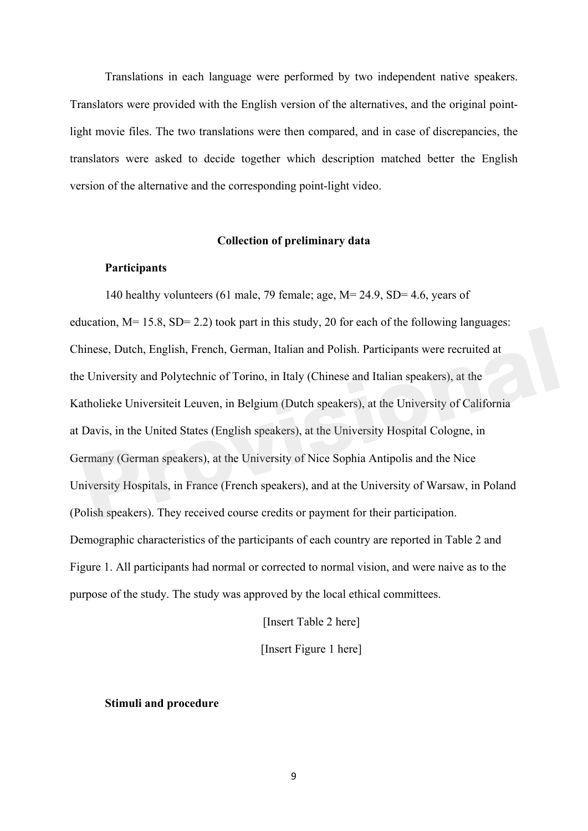Translations in each language were performed by two independent native speakers. Translators were provided with the English version of the alternatives, and the original pointlight movie files. The two translations were then compared, and in case of discrepancies, the translators were asked to decide together which description matched better the English version of the alternative and the corresponding point-light video.

#### **Collection of preliminary data**

#### **Participants**

140 healthy volunteers (61 male, 79 female; age, M= 24.9, SD= 4.6, years of education,  $M= 15.8$ ,  $SD= 2.2$ ) took part in this study, 20 for each of the following languages: Chinese, Dutch, English, French, German, Italian and Polish. Participants were recruited at the University and Polytechnic of Torino, in Italy (Chinese and Italian speakers), at the Katholieke Universiteit Leuven, in Belgium (Dutch speakers), at the University of California at Davis, in the United States (English speakers), at the University Hospital Cologne, in Germany (German speakers), at the University of Nice Sophia Antipolis and the Nice University Hospitals, in France (French speakers), and at the University of Warsaw, in Poland (Polish speakers). They received course credits or payment for their participation. Demographic characteristics of the participants of each country are reported in Table 2 and Figure 1. All participants had normal or corrected to normal vision, and were naive as to the purpose of the study. The study was approved by the local ethical committees. innese, Dutch, English, French, German, Italian and Polish. Participants were recruited at a University and Polytechnic of Torino, in Italy (Chinese and Italian speakers), at the atholieke Universiteit Leuven, in Belgium (

[Insert Table 2 here]

[Insert Figure 1 here]

#### **Stimuli and procedure**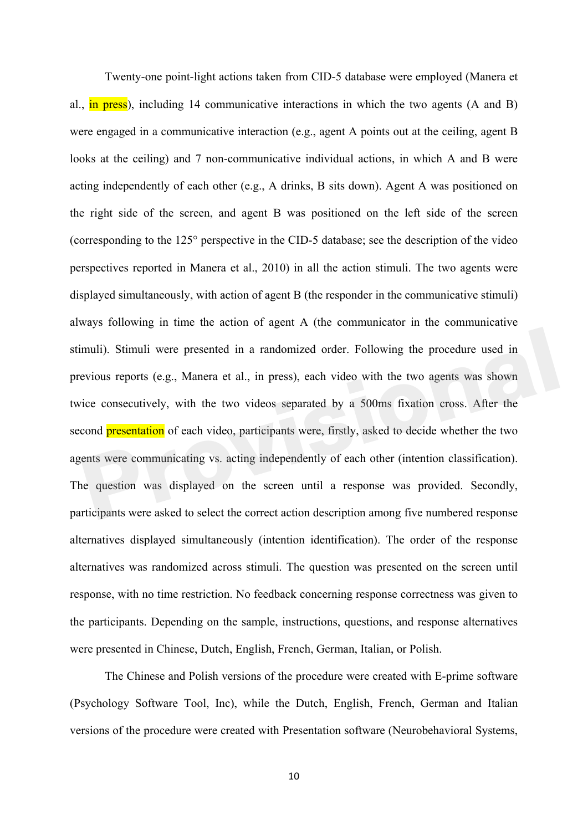Twenty-one point-light actions taken from CID-5 database were employed (Manera et al.,  $\overline{in}$  press), including 14 communicative interactions in which the two agents (A and B) were engaged in a communicative interaction (e.g., agent A points out at the ceiling, agent B looks at the ceiling) and 7 non-communicative individual actions, in which A and B were acting independently of each other (e.g., A drinks, B sits down). Agent A was positioned on the right side of the screen, and agent B was positioned on the left side of the screen (corresponding to the 125° perspective in the CID-5 database; see the description of the video perspectives reported in Manera et al., 2010) in all the action stimuli. The two agents were displayed simultaneously, with action of agent B (the responder in the communicative stimuli) always following in time the action of agent A (the communicator in the communicative stimuli). Stimuli were presented in a randomized order. Following the procedure used in previous reports (e.g., Manera et al., in press), each video with the two agents was shown twice consecutively, with the two videos separated by a 500ms fixation cross. After the second **presentation** of each video, participants were, firstly, asked to decide whether the two agents were communicating vs. acting independently of each other (intention classification). The question was displayed on the screen until a response was provided. Secondly, participants were asked to select the correct action description among five numbered response alternatives displayed simultaneously (intention identification). The order of the response alternatives was randomized across stimuli. The question was presented on the screen until response, with no time restriction. No feedback concerning response correctness was given to the participants. Depending on the sample, instructions, questions, and response alternatives were presented in Chinese, Dutch, English, French, German, Italian, or Polish. muli). Stimuli were presented in a randomized order. Following the procedure used in evious reports (e.g., Manera et al., in press), each video with the two agents was shown tice consecutively, with the two videos separate

The Chinese and Polish versions of the procedure were created with E-prime software (Psychology Software Tool, Inc), while the Dutch, English, French, German and Italian versions of the procedure were created with Presentation software (Neurobehavioral Systems,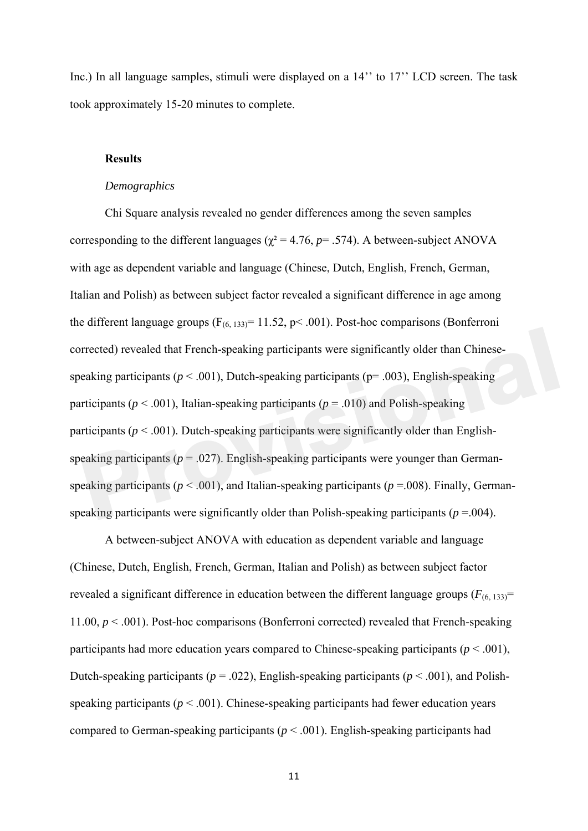Inc.) In all language samples, stimuli were displayed on a 14" to 17" LCD screen. The task took approximately 15-20 minutes to complete.

## **Results**

#### *Demographics*

Chi Square analysis revealed no gender differences among the seven samples corresponding to the different languages ( $\chi^2$  = 4.76, *p*= .574). A between-subject ANOVA with age as dependent variable and language (Chinese, Dutch, English, French, German, Italian and Polish) as between subject factor revealed a significant difference in age among the different language groups  $(F_{(6, 133)} = 11.52, p < .001)$ . Post-hoc comparisons (Bonferroni corrected) revealed that French-speaking participants were significantly older than Chinesespeaking participants ( $p < .001$ ), Dutch-speaking participants ( $p = .003$ ), English-speaking participants ( $p < .001$ ), Italian-speaking participants ( $p = .010$ ) and Polish-speaking participants ( $p < .001$ ). Dutch-speaking participants were significantly older than Englishspeaking participants ( $p = .027$ ). English-speaking participants were younger than Germanspeaking participants ( $p < .001$ ), and Italian-speaking participants ( $p = .008$ ). Finally, Germanspeaking participants were significantly older than Polish-speaking participants ( $p = .004$ ). Frected) revealed that French-speaking participants were significantly older than Chinese-<br>eaking participants ( $p < .001$ ), Dutch-speaking participants ( $p = .003$ ), English-speaking<br>rticipants ( $p < .001$ ), Italian-speaking p

A between-subject ANOVA with education as dependent variable and language (Chinese, Dutch, English, French, German, Italian and Polish) as between subject factor revealed a significant difference in education between the different language groups  $(F_{(6, 133)}$ = 11.00, *p* < .001). Post-hoc comparisons (Bonferroni corrected) revealed that French-speaking participants had more education years compared to Chinese-speaking participants ( $p < .001$ ), Dutch-speaking participants ( $p = .022$ ), English-speaking participants ( $p < .001$ ), and Polishspeaking participants ( $p < .001$ ). Chinese-speaking participants had fewer education years compared to German-speaking participants ( $p < .001$ ). English-speaking participants had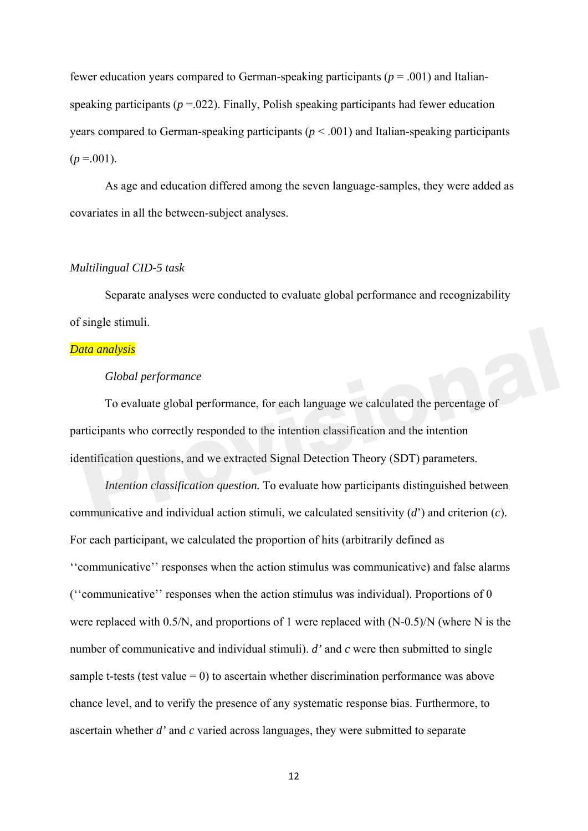fewer education years compared to German-speaking participants ( $p = .001$ ) and Italianspeaking participants ( $p = 0.022$ ). Finally, Polish speaking participants had fewer education years compared to German-speaking participants ( $p < .001$ ) and Italian-speaking participants  $(p = .001)$ .

As age and education differed among the seven language-samples, they were added as covariates in all the between-subject analyses.

#### *Multilingual CID-5 task*

Separate analyses were conducted to evaluate global performance and recognizability of single stimuli.

#### *Data analysis*

### *Global performance*

To evaluate global performance, for each language we calculated the percentage of participants who correctly responded to the intention classification and the intention identification questions, and we extracted Signal Detection Theory (SDT) parameters. **Consider the Example 12 Solution**<br>To evaluate global performance, for each language we calculated the percentage of<br>ricipants who correctly responded to the intention classification and the intention<br>entification question

*Intention classification question.* To evaluate how participants distinguished between communicative and individual action stimuli, we calculated sensitivity (*d*') and criterion (*c*). For each participant, we calculated the proportion of hits (arbitrarily defined as ''communicative'' responses when the action stimulus was communicative) and false alarms (''communicative'' responses when the action stimulus was individual). Proportions of 0 were replaced with 0.5/N, and proportions of 1 were replaced with (N-0.5)/N (where N is the number of communicative and individual stimuli). *d'* and *c* were then submitted to single sample t-tests (test value  $= 0$ ) to ascertain whether discrimination performance was above chance level, and to verify the presence of any systematic response bias. Furthermore, to ascertain whether *d'* and *c* varied across languages, they were submitted to separate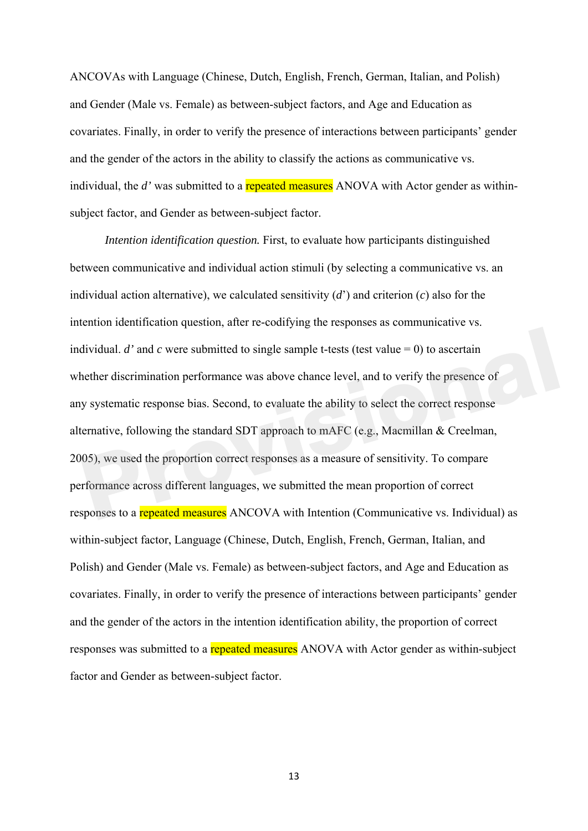ANCOVAs with Language (Chinese, Dutch, English, French, German, Italian, and Polish) and Gender (Male vs. Female) as between-subject factors, and Age and Education as covariates. Finally, in order to verify the presence of interactions between participants' gender and the gender of the actors in the ability to classify the actions as communicative vs. individual, the *d'* was submitted to a **repeated measures** ANOVA with Actor gender as withinsubject factor, and Gender as between-subject factor.

*Intention identification question.* First, to evaluate how participants distinguished between communicative and individual action stimuli (by selecting a communicative vs. an individual action alternative), we calculated sensitivity (*d*') and criterion (*c*) also for the intention identification question, after re-codifying the responses as communicative vs. individual. *d'* and *c* were submitted to single sample t-tests (test value  $= 0$ ) to ascertain whether discrimination performance was above chance level, and to verify the presence of any systematic response bias. Second, to evaluate the ability to select the correct response alternative, following the standard SDT approach to mAFC (e.g., Macmillan & Creelman, 2005), we used the proportion correct responses as a measure of sensitivity. To compare performance across different languages, we submitted the mean proportion of correct responses to a repeated measures ANCOVA with Intention (Communicative vs. Individual) as within-subject factor, Language (Chinese, Dutch, English, French, German, Italian, and Polish) and Gender (Male vs. Female) as between-subject factors, and Age and Education as covariates. Finally, in order to verify the presence of interactions between participants' gender and the gender of the actors in the intention identification ability, the proportion of correct responses was submitted to a repeated measures ANOVA with Actor gender as within-subject factor and Gender as between-subject factor. dividual. *d'* and *c* were submitted to single sample t-tests (test value = 0) to ascertain<br>nether discrimination performance was above chance level, and to verify the presence of<br>y systematic response bias. Second, to ev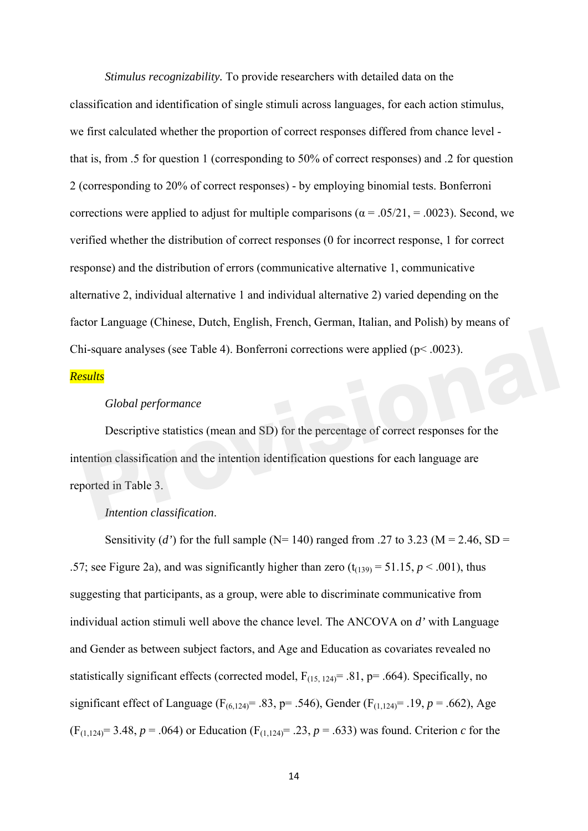*Stimulus recognizability.* To provide researchers with detailed data on the classification and identification of single stimuli across languages, for each action stimulus, we first calculated whether the proportion of correct responses differed from chance level that is, from .5 for question 1 (corresponding to 50% of correct responses) and .2 for question 2 (corresponding to 20% of correct responses) - by employing binomial tests. Bonferroni corrections were applied to adjust for multiple comparisons ( $\alpha$  = .05/21, = .0023). Second, we verified whether the distribution of correct responses (0 for incorrect response, 1 for correct response) and the distribution of errors (communicative alternative 1, communicative alternative 2, individual alternative 1 and individual alternative 2) varied depending on the factor Language (Chinese, Dutch, English, French, German, Italian, and Polish) by means of Chi-square analyses (see Table 4). Bonferroni corrections were applied (p< .0023).

## *Results*

### *Global performance*

Descriptive statistics (mean and SD) for the percentage of correct responses for the intention classification and the intention identification questions for each language are reported in Table 3. in-square analyses (see Table 4). Bonferroni corrections were applied (p< .0023).<br> **Provides**<br> **Provides**<br> **Provides**<br> **Provides**<br> **Provides**<br> **Provides**<br> **Provides**<br> **Provides**<br> **Provides**<br> **Provides**<br> **Provides**<br> **Provid** 

#### *Intention classification*.

Sensitivity (*d'*) for the full sample (N= 140) ranged from .27 to 3.23 (M = 2.46, SD = .57; see Figure 2a), and was significantly higher than zero  $(t_{(139)} = 51.15, p \le 0.001)$ , thus suggesting that participants, as a group, were able to discriminate communicative from individual action stimuli well above the chance level. The ANCOVA on *d'* with Language and Gender as between subject factors, and Age and Education as covariates revealed no statistically significant effects (corrected model,  $F_{(15, 124)} = .81$ , p= .664). Specifically, no significant effect of Language ( $F_{(6,124)} = .83$ , p= .546), Gender ( $F_{(1,124)} = .19$ ,  $p = .662$ ), Age  $(F_{(1,124)}=3.48, p=.064)$  or Education  $(F_{(1,124)}=.23, p=.633)$  was found. Criterion *c* for the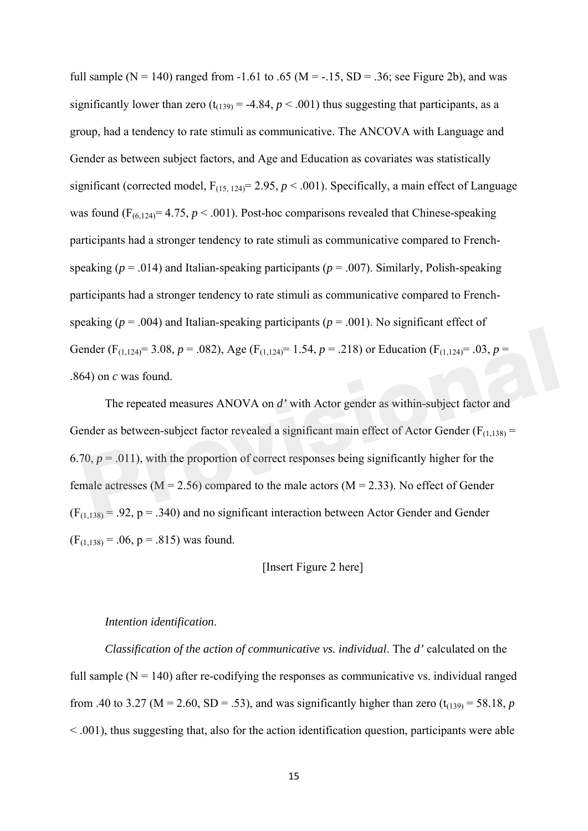full sample ( $N = 140$ ) ranged from -1.61 to .65 ( $M = -15$ ,  $SD = 0.36$ ; see Figure 2b), and was significantly lower than zero  $(t_{(139)} = -4.84, p < .001)$  thus suggesting that participants, as a group, had a tendency to rate stimuli as communicative. The ANCOVA with Language and Gender as between subject factors, and Age and Education as covariates was statistically significant (corrected model,  $F_{(15, 124)} = 2.95$ ,  $p < .001$ ). Specifically, a main effect of Language was found  $(F_{(6,124)}=4.75, p \le 0.001)$ . Post-hoc comparisons revealed that Chinese-speaking participants had a stronger tendency to rate stimuli as communicative compared to Frenchspeaking ( $p = .014$ ) and Italian-speaking participants ( $p = .007$ ). Similarly, Polish-speaking participants had a stronger tendency to rate stimuli as communicative compared to Frenchspeaking ( $p = .004$ ) and Italian-speaking participants ( $p = .001$ ). No significant effect of Gender (F<sub>(1,124)</sub> = 3.08,  $p = .082$ ), Age (F<sub>(1,124)</sub> = 1.54,  $p = .218$ ) or Education (F<sub>(1,124)</sub> = .03,  $p =$ .864) on *c* was found.

The repeated measures ANOVA on *d'* with Actor gender as within-subject factor and Gender as between-subject factor revealed a significant main effect of Actor Gender ( $F<sub>(1,138)</sub>$  = 6.70,  $p = .011$ ), with the proportion of correct responses being significantly higher for the female actresses ( $M = 2.56$ ) compared to the male actors ( $M = 2.33$ ). No effect of Gender  $(F<sub>(1,138)</sub> = .92, p = .340)$  and no significant interaction between Actor Gender and Gender  $(F<sub>(1.138)</sub> = .06, p = .815)$  was found. **Provide Eq. 4 Provide 1 Provide 1 Provide 1 Provide 1 Provide 1 Provide 1 Provide 1 Provide 1 Provide 1 Provide 1 Provide 1 Provide 1 Provide 1 Provide 1 Provide 1 Provide 1 Provide 1**

## [Insert Figure 2 here]

## *Intention identification*.

*Classification of the action of communicative vs. individual*. The *d'* calculated on the full sample  $(N = 140)$  after re-codifying the responses as communicative vs. individual ranged from .40 to 3.27 ( $M = 2.60$ ,  $SD = .53$ ), and was significantly higher than zero ( $t_{(139)} = 58.18$ , *p*  $\leq$  0.01), thus suggesting that, also for the action identification question, participants were able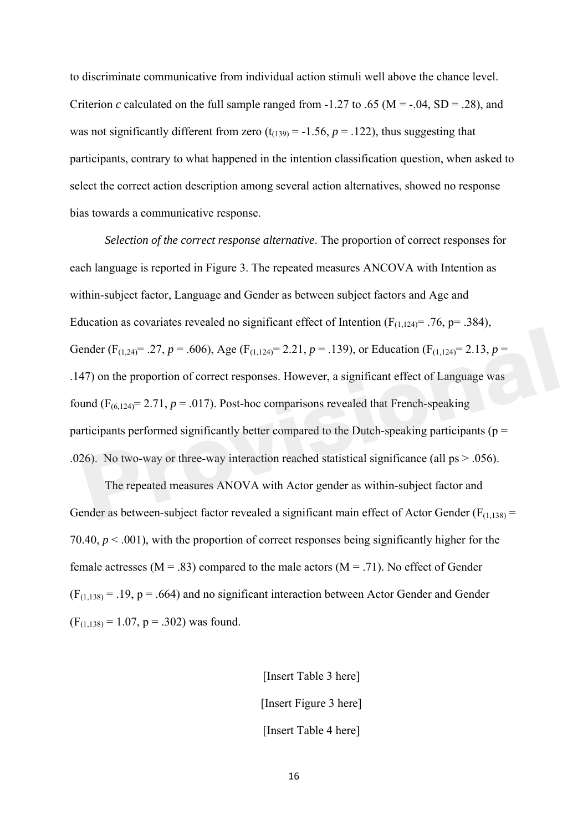to discriminate communicative from individual action stimuli well above the chance level. Criterion *c* calculated on the full sample ranged from -1.27 to .65 (M = -.04, SD = .28), and was not significantly different from zero  $(t_{(139)} = -1.56, p = .122)$ , thus suggesting that participants, contrary to what happened in the intention classification question, when asked to select the correct action description among several action alternatives, showed no response bias towards a communicative response.

*Selection of the correct response alternative*. The proportion of correct responses for each language is reported in Figure 3. The repeated measures ANCOVA with Intention as within-subject factor, Language and Gender as between subject factors and Age and Education as covariates revealed no significant effect of Intention ( $F_{(1,124)}$ = .76, p= .384), Gender (F<sub>(1,24)</sub>= .27, *p* = .606), Age (F<sub>(1,124)</sub>= 2.21, *p* = .139), or Education (F<sub>(1,124)</sub>= 2.13, *p* = .147) on the proportion of correct responses. However, a significant effect of Language was found  $(F_{(6,124)}= 2.71, p = .017)$ . Post-hoc comparisons revealed that French-speaking participants performed significantly better compared to the Dutch-speaking participants ( $p =$ .026). No two-way or three-way interaction reached statistical significance (all ps > .056). ender (F<sub>(1,24)</sub>= .27, *p* = .606), Age (F<sub>(1,124)</sub>= 2.21, *p* = .139), or Education (F<sub>(1,124)</sub>= 2.13, *p* = 47) on the proportion of correct responses. However, a significant effect of Language was und (F<sub>(6,124)</sub>= 2.71

The repeated measures ANOVA with Actor gender as within-subject factor and Gender as between-subject factor revealed a significant main effect of Actor Gender ( $F_{(1,138)}$  = 70.40, *p* < .001), with the proportion of correct responses being significantly higher for the female actresses ( $M = .83$ ) compared to the male actors ( $M = .71$ ). No effect of Gender  $(F<sub>(1,138)</sub> = .19, p = .664)$  and no significant interaction between Actor Gender and Gender  $(F<sub>(1.138)</sub> = 1.07, p = .302)$  was found.

> [Insert Table 3 here] [Insert Figure 3 here] [Insert Table 4 here]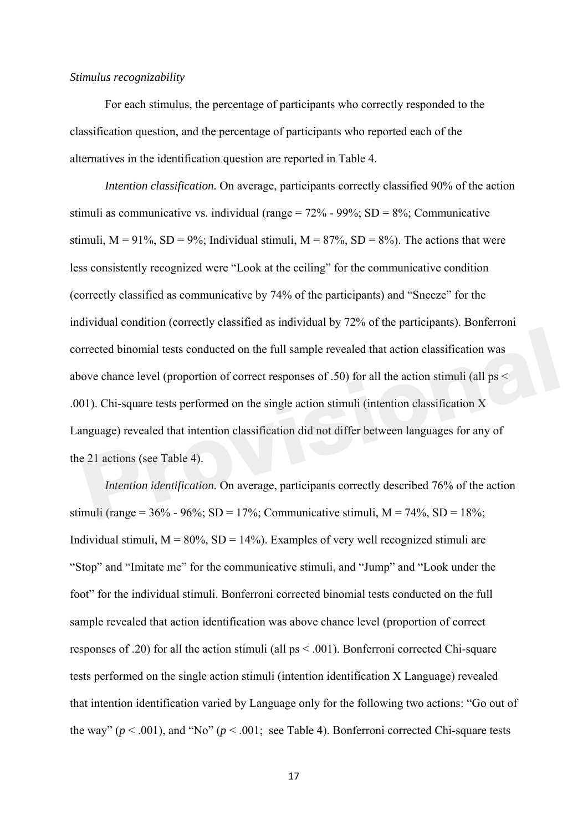#### *Stimulus recognizability*

For each stimulus, the percentage of participants who correctly responded to the classification question, and the percentage of participants who reported each of the alternatives in the identification question are reported in Table 4.

*Intention classification.* On average, participants correctly classified 90% of the action stimuli as communicative vs. individual (range =  $72\%$  - 99%; SD =  $8\%$ : Communicative stimuli,  $M = 91\%$ ,  $SD = 9\%$ ; Individual stimuli,  $M = 87\%$ ,  $SD = 8\%$ ). The actions that were less consistently recognized were "Look at the ceiling" for the communicative condition (correctly classified as communicative by 74% of the participants) and "Sneeze" for the individual condition (correctly classified as individual by 72% of the participants). Bonferroni corrected binomial tests conducted on the full sample revealed that action classification was above chance level (proportion of correct responses of .50) for all the action stimuli (all ps < .001). Chi-square tests performed on the single action stimuli (intention classification X Language) revealed that intention classification did not differ between languages for any of the 21 actions (see Table 4). Frected binomial tests conducted on the full sample revealed that action classification was<br>
ove chance level (proportion of correct responses of .50) for all the action stimuli (all ps <<br>
D1). Chi-square tests performed

*Intention identification.* On average, participants correctly described 76% of the action stimuli (range =  $36\%$  -  $96\%$ ; SD =  $17\%$ ; Communicative stimuli, M =  $74\%$ , SD =  $18\%$ ; Individual stimuli,  $M = 80\%$ ,  $SD = 14\%$ ). Examples of very well recognized stimuli are "Stop" and "Imitate me" for the communicative stimuli, and "Jump" and "Look under the foot" for the individual stimuli. Bonferroni corrected binomial tests conducted on the full sample revealed that action identification was above chance level (proportion of correct responses of .20) for all the action stimuli (all ps < .001). Bonferroni corrected Chi-square tests performed on the single action stimuli (intention identification X Language) revealed that intention identification varied by Language only for the following two actions: "Go out of the way"  $(p < .001)$ , and "No"  $(p < .001$ ; see Table 4). Bonferroni corrected Chi-square tests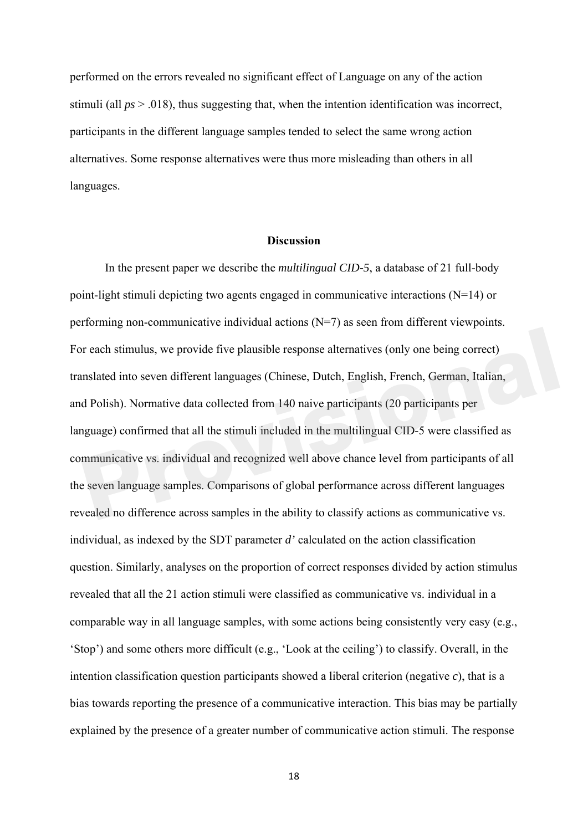performed on the errors revealed no significant effect of Language on any of the action stimuli (all *ps* > .018), thus suggesting that, when the intention identification was incorrect, participants in the different language samples tended to select the same wrong action alternatives. Some response alternatives were thus more misleading than others in all languages.

#### **Discussion**

In the present paper we describe the *multilingual CID-5*, a database of 21 full-body point-light stimuli depicting two agents engaged in communicative interactions (N=14) or performing non-communicative individual actions (N=7) as seen from different viewpoints. For each stimulus, we provide five plausible response alternatives (only one being correct) translated into seven different languages (Chinese, Dutch, English, French, German, Italian, and Polish). Normative data collected from 140 naive participants (20 participants per language) confirmed that all the stimuli included in the multilingual CID-5 were classified as communicative vs. individual and recognized well above chance level from participants of all the seven language samples. Comparisons of global performance across different languages revealed no difference across samples in the ability to classify actions as communicative vs. individual, as indexed by the SDT parameter *d'* calculated on the action classification question. Similarly, analyses on the proportion of correct responses divided by action stimulus revealed that all the 21 action stimuli were classified as communicative vs. individual in a comparable way in all language samples, with some actions being consistently very easy (e.g., 'Stop') and some others more difficult (e.g., 'Look at the ceiling') to classify. Overall, in the intention classification question participants showed a liberal criterion (negative *c*), that is a bias towards reporting the presence of a communicative interaction. This bias may be partially explained by the presence of a greater number of communicative action stimuli. The response r each stimulus, we provide five plausible response alternatives (only one being correct)<br>
Inslated into seven different languages (Chinese, Dutch, English, French, German, Italian,<br>
d Polish). Normative data collected fro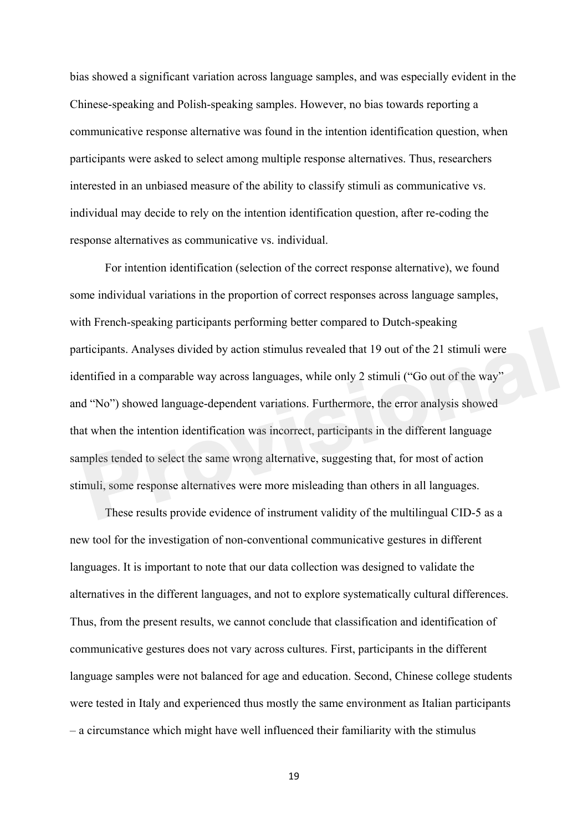bias showed a significant variation across language samples, and was especially evident in the Chinese-speaking and Polish-speaking samples. However, no bias towards reporting a communicative response alternative was found in the intention identification question, when participants were asked to select among multiple response alternatives. Thus, researchers interested in an unbiased measure of the ability to classify stimuli as communicative vs. individual may decide to rely on the intention identification question, after re-coding the response alternatives as communicative vs. individual.

For intention identification (selection of the correct response alternative), we found some individual variations in the proportion of correct responses across language samples, with French-speaking participants performing better compared to Dutch-speaking participants. Analyses divided by action stimulus revealed that 19 out of the 21 stimuli were identified in a comparable way across languages, while only 2 stimuli ("Go out of the way" and "No") showed language-dependent variations. Furthermore, the error analysis showed that when the intention identification was incorrect, participants in the different language samples tended to select the same wrong alternative, suggesting that, for most of action stimuli, some response alternatives were more misleading than others in all languages. **Providends**<br>**Providends** in a comparable way across languages, while only 2 stimuli ("Go out of the way"<br>d "No") showed language-dependent variations. Furthermore, the error analysis showed<br>at when the intention identific

These results provide evidence of instrument validity of the multilingual CID-5 as a new tool for the investigation of non-conventional communicative gestures in different languages. It is important to note that our data collection was designed to validate the alternatives in the different languages, and not to explore systematically cultural differences. Thus, from the present results, we cannot conclude that classification and identification of communicative gestures does not vary across cultures. First, participants in the different language samples were not balanced for age and education. Second, Chinese college students were tested in Italy and experienced thus mostly the same environment as Italian participants – a circumstance which might have well influenced their familiarity with the stimulus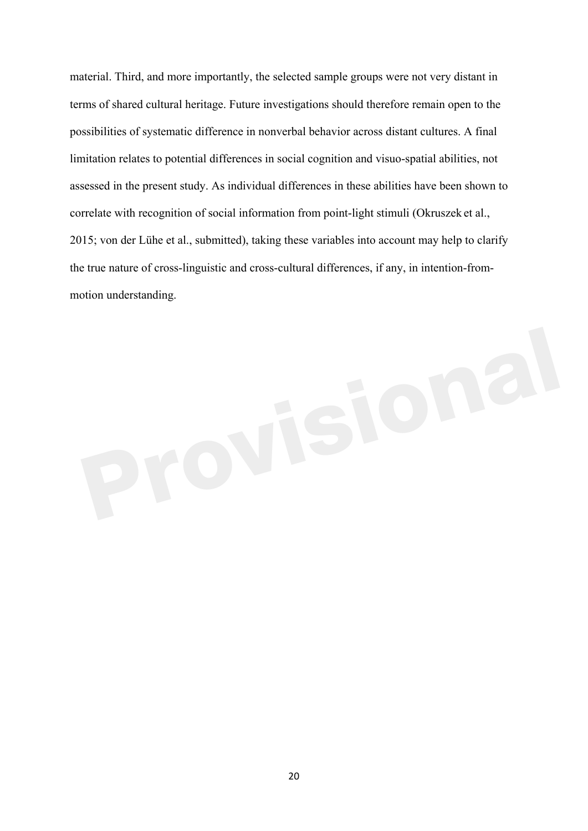material. Third, and more importantly, the selected sample groups were not very distant in terms of shared cultural heritage. Future investigations should therefore remain open to the possibilities of systematic difference in nonverbal behavior across distant cultures. A final limitation relates to potential differences in social cognition and visuo-spatial abilities, not assessed in the present study. As individual differences in these abilities have been shown to correlate with recognition of social information from point-light stimuli (Okruszek et al., 2015; von der Lühe et al., submitted), taking these variables into account may help to clarify the true nature of cross-linguistic and cross-cultural differences, if any, in intention-frommotion understanding.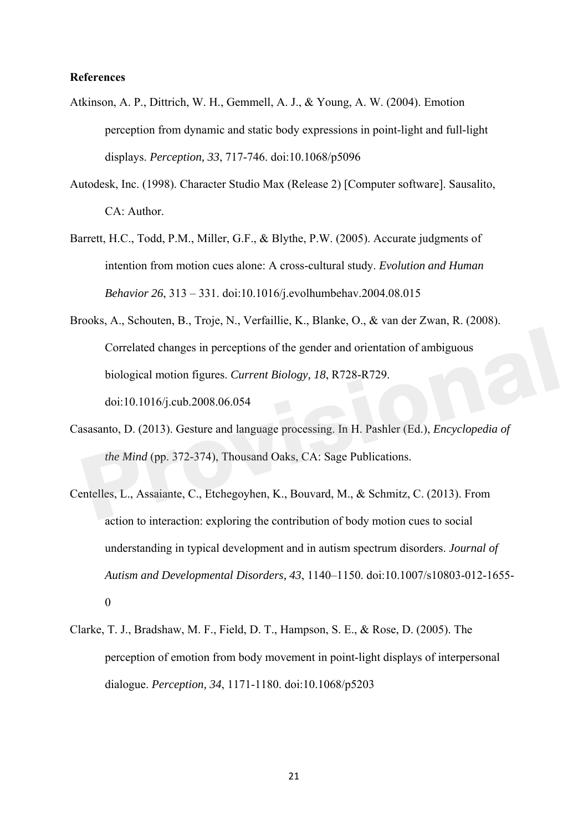## **References**

- Atkinson, A. P., Dittrich, W. H., Gemmell, A. J., & Young, A. W. (2004). Emotion perception from dynamic and static body expressions in point-light and full-light displays. *Perception, 33*, 717-746. doi:10.1068/p5096
- Autodesk, Inc. (1998). Character Studio Max (Release 2) [Computer software]. Sausalito, CA: Author.
- Barrett, H.C., Todd, P.M., Miller, G.F., & Blythe, P.W. (2005). Accurate judgments of intention from motion cues alone: A cross-cultural study. *Evolution and Human Behavior 26*, 313 – 331. doi:10.1016/j.evolhumbehav.2004.08.015
- Brooks, A., Schouten, B., Troje, N., Verfaillie, K., Blanke, O., & van der Zwan, R. (2008). Correlated changes in perceptions of the gender and orientation of ambiguous biological motion figures. *Current Biology, 18*, R728-R729. doi:10.1016/j.cub.2008.06.054 Correlated changes in perceptions of the gender and orientation of ambiguous<br>biological motion figures. *Current Biology, 18*, R728-R729.<br>doi:10.1016/j.cub.2008.06.054<br>assaanto, D. (2013). Gesture and language processing.
- Casasanto, D. (2013). Gesture and language processing. In H. Pashler (Ed.), *Encyclopedia of the Mind* (pp. 372-374), Thousand Oaks, CA: Sage Publications.
- Centelles, L., Assaiante, C., Etchegoyhen, K., Bouvard, M., & Schmitz, C. (2013). From action to interaction: exploring the contribution of body motion cues to social understanding in typical development and in autism spectrum disorders. *Journal of Autism and Developmental Disorders, 43*, 1140–1150. doi:10.1007/s10803-012-1655- 0
- Clarke, T. J., Bradshaw, M. F., Field, D. T., Hampson, S. E., & Rose, D. (2005). The perception of emotion from body movement in point-light displays of interpersonal dialogue. *Perception, 34*, 1171-1180. doi:10.1068/p5203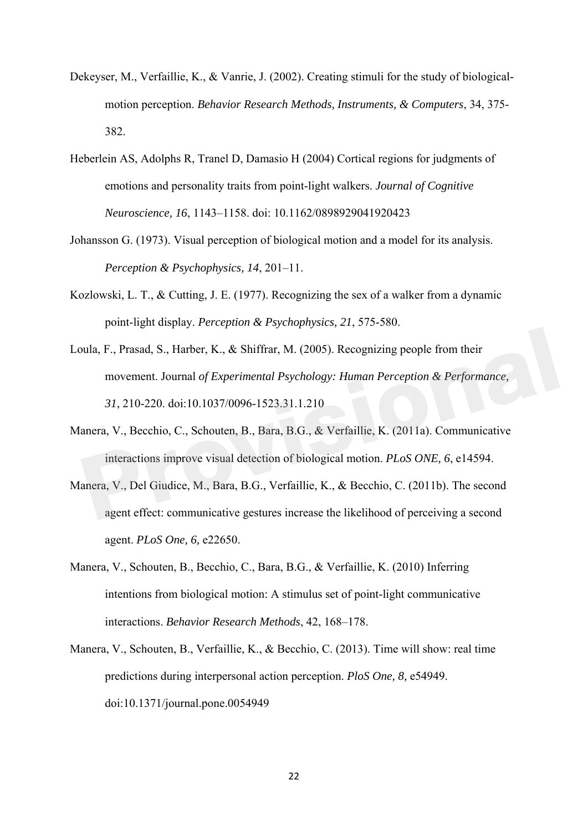- Dekeyser, M., Verfaillie, K., & Vanrie, J. (2002). Creating stimuli for the study of biologicalmotion perception. *Behavior Research Methods, Instruments, & Computers*, 34, 375- 382.
- Heberlein AS, Adolphs R, Tranel D, Damasio H (2004) Cortical regions for judgments of emotions and personality traits from point-light walkers. *Journal of Cognitive Neuroscience, 16*, 1143–1158. doi: 10.1162/0898929041920423
- Johansson G. (1973). Visual perception of biological motion and a model for its analysis. *Perception & Psychophysics, 14*, 201–11.
- Kozlowski, L. T., & Cutting, J. E. (1977). Recognizing the sex of a walker from a dynamic point-light display. *Perception & Psychophysics, 21*, 575-580.
- Loula, F., Prasad, S., Harber, K., & Shiffrar, M. (2005). Recognizing people from their movement. Journal *of Experimental Psychology: Human Perception & Performance, 31*, 210-220. doi:10.1037/0096-1523.31.1.210 **Providends** F., Prasad, S., Harber, K., & Shiffrar, M. (2005). Recognizing people from their<br>movement. Journal of Experimental Psychology: Human Perception & Performance,<br>31, 210-220. doi:10.1037/0096-1523.31.1.210<br>anera,
- Manera, V., Becchio, C., Schouten, B., Bara, B.G., & Verfaillie, K. (2011a). Communicative interactions improve visual detection of biological motion. *PLoS ONE, 6*, e14594.
- Manera, V., Del Giudice, M., Bara, B.G., Verfaillie, K., & Becchio, C. (2011b). The second agent effect: communicative gestures increase the likelihood of perceiving a second agent. *PLoS One, 6,* e22650.
- Manera, V., Schouten, B., Becchio, C., Bara, B.G., & Verfaillie, K. (2010) Inferring intentions from biological motion: A stimulus set of point-light communicative interactions. *Behavior Research Methods*, 42, 168–178.
- Manera, V., Schouten, B., Verfaillie, K., & Becchio, C. (2013). Time will show: real time predictions during interpersonal action perception. *PloS One, 8,* e54949. doi:10.1371/journal.pone.0054949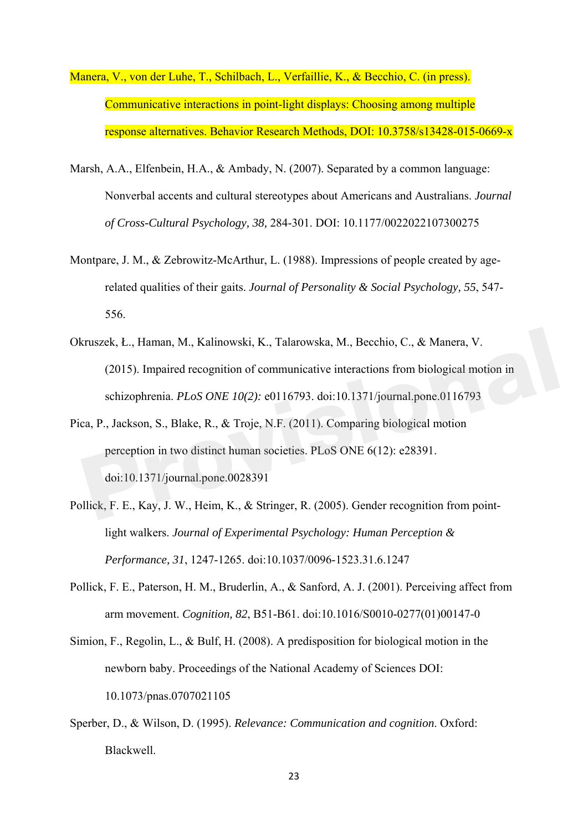- Manera, V., von der Luhe, T., Schilbach, L., Verfaillie, K., & Becchio, C. (in press). Communicative interactions in point-light displays: Choosing among multiple response alternatives. Behavior Research Methods, DOI: 10.3758/s13428-015-0669-x
- Marsh, A.A., Elfenbein, H.A., & Ambady, N. (2007). Separated by a common language: Nonverbal accents and cultural stereotypes about Americans and Australians. *Journal of Cross-Cultural Psychology, 38,* 284-301. DOI: 10.1177/0022022107300275
- Montpare, J. M., & Zebrowitz-McArthur, L. (1988). Impressions of people created by agerelated qualities of their gaits. *Journal of Personality & Social Psychology, 55*, 547- 556.
- Okruszek, Ł., Haman, M., Kalinowski, K., Talarowska, M., Becchio, C., & Manera, V. (2015). Impaired recognition of communicative interactions from biological motion in schizophrenia. *PLoS ONE 10(2):* e0116793. doi:10.1371/journal.pone.0116793 cruszek, Ł., Haman, M., Kalinowski, K., Talarowska, M., Becchio, C., & Manera, V.<br>
(2015). Impaired recognition of communicative interactions from biological motion in<br>
schizophrenia. *PLoS ONE 10*(2): e0116793. doi:10.137
- Pica, P., Jackson, S., Blake, R., & Troje, N.F. (2011). Comparing biological motion perception in two distinct human societies. PLoS ONE 6(12): e28391. doi:10.1371/journal.pone.0028391
- Pollick, F. E., Kay, J. W., Heim, K., & Stringer, R. (2005). Gender recognition from pointlight walkers. *Journal of Experimental Psychology: Human Perception & Performance, 31*, 1247-1265. doi:10.1037/0096-1523.31.6.1247
- Pollick, F. E., Paterson, H. M., Bruderlin, A., & Sanford, A. J. (2001). Perceiving affect from arm movement. *Cognition, 82*, B51-B61. doi:10.1016/S0010-0277(01)00147-0
- Simion, F., Regolin, L., & Bulf, H. (2008). A predisposition for biological motion in the newborn baby. Proceedings of the National Academy of Sciences DOI: 10.1073/pnas.0707021105
- Sperber, D., & Wilson, D. (1995). *Relevance: Communication and cognition*. Oxford: Blackwell.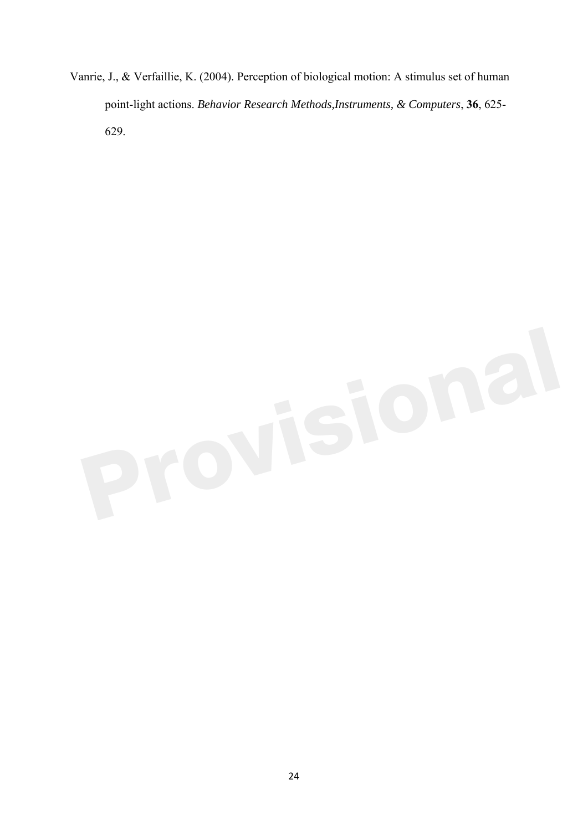Vanrie, J., & Verfaillie, K. (2004). Perception of biological motion: A stimulus set of human point-light actions. *Behavior Research Methods,Instruments, & Computers*, **36**, 625- 629.

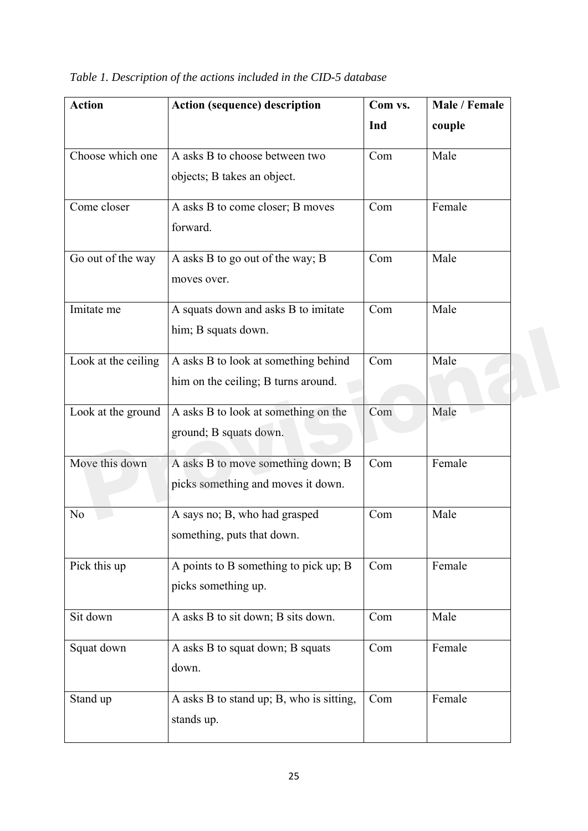| <b>Action</b>       | <b>Action (sequence) description</b>     | Com vs. | Male / Female |
|---------------------|------------------------------------------|---------|---------------|
|                     |                                          | Ind     | couple        |
| Choose which one    | A asks B to choose between two           | Com     | Male          |
|                     | objects; B takes an object.              |         |               |
| Come closer         | A asks B to come closer; B moves         | Com     | Female        |
|                     | forward.                                 |         |               |
| Go out of the way   | A asks B to go out of the way; B         | Com     | Male          |
|                     | moves over.                              |         |               |
| Imitate me          | A squats down and asks B to imitate      | Com     | Male          |
|                     | him; B squats down.                      |         |               |
| Look at the ceiling | A asks B to look at something behind     | Com     | Male          |
|                     | him on the ceiling; B turns around.      |         |               |
| Look at the ground  | A asks B to look at something on the     | Com     | Male          |
|                     | ground; B squats down.                   |         |               |
| Move this down      | A asks B to move something down; B       | Com     | Female        |
|                     | picks something and moves it down.       |         |               |
| N <sub>o</sub>      | A says no; B, who had grasped            | Com     | Male          |
|                     | something, puts that down.               |         |               |
| Pick this up        | A points to B something to pick up; B    | Com     | Female        |
|                     | picks something up.                      |         |               |
| Sit down            | A asks B to sit down; B sits down.       | Com     | Male          |
| Squat down          | A asks B to squat down; B squats         | Com     | Female        |
|                     | down.                                    |         |               |
| Stand up            | A asks B to stand up; B, who is sitting, | Com     | Female        |
|                     | stands up.                               |         |               |
|                     |                                          |         |               |

*Table 1. Description of the actions included in the CID-5 database*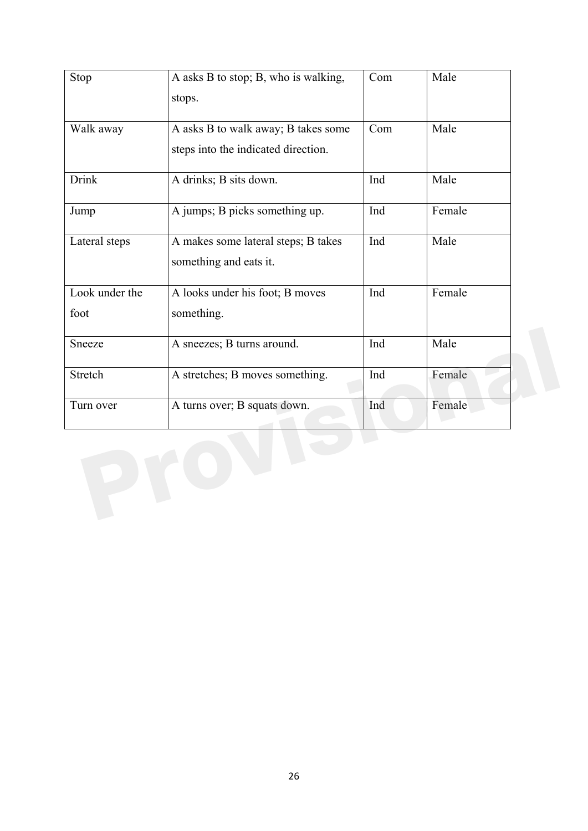| Stop           | A asks B to stop; B, who is walking, | Com | Male   |
|----------------|--------------------------------------|-----|--------|
|                | stops.                               |     |        |
|                |                                      |     |        |
| Walk away      | A asks B to walk away; B takes some  | Com | Male   |
|                | steps into the indicated direction.  |     |        |
| <b>Drink</b>   | A drinks; B sits down.               | Ind | Male   |
|                |                                      |     |        |
| Jump           | A jumps; B picks something up.       | Ind | Female |
| Lateral steps  | A makes some lateral steps; B takes  | Ind | Male   |
|                | something and eats it.               |     |        |
|                |                                      |     |        |
| Look under the | A looks under his foot; B moves      | Ind | Female |
| foot           | something.                           |     |        |
| Sneeze         | A sneezes; B turns around.           | Ind | Male   |
|                |                                      |     |        |
| <b>Stretch</b> | A stretches; B moves something.      | Ind | Female |
| Turn over      | A turns over; B squats down.         | Ind | Female |
|                |                                      |     |        |
|                |                                      |     |        |
|                |                                      |     |        |
|                |                                      |     |        |
|                |                                      |     |        |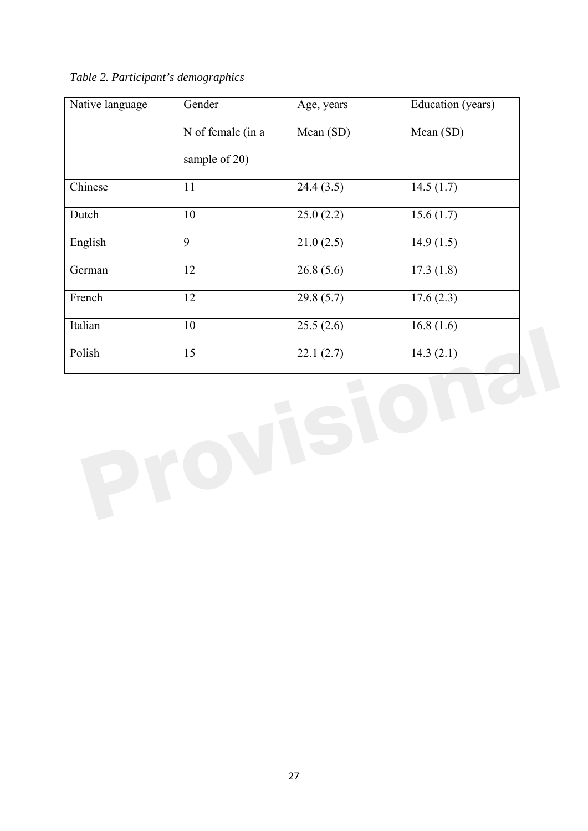|  |  | Table 2. Participant's demographics |  |
|--|--|-------------------------------------|--|
|--|--|-------------------------------------|--|

| Native language | Gender            | Age, years | Education (years) |
|-----------------|-------------------|------------|-------------------|
|                 | N of female (in a | Mean (SD)  | Mean (SD)         |
|                 | sample of 20)     |            |                   |
| Chinese         | 11                | 24.4(3.5)  | 14.5(1.7)         |
| Dutch           | 10                | 25.0(2.2)  | 15.6(1.7)         |
| English         | $\overline{9}$    | 21.0(2.5)  | 14.9(1.5)         |
| German          | $\overline{12}$   | 26.8(5.6)  | 17.3(1.8)         |
| French          | $\overline{12}$   | 29.8(5.7)  | 17.6(2.3)         |
| Italian         | 10                | 25.5(2.6)  | 16.8(1.6)         |
| Polish          | 15                | 22.1(2.7)  | 14.3(2.1)         |
|                 |                   |            |                   |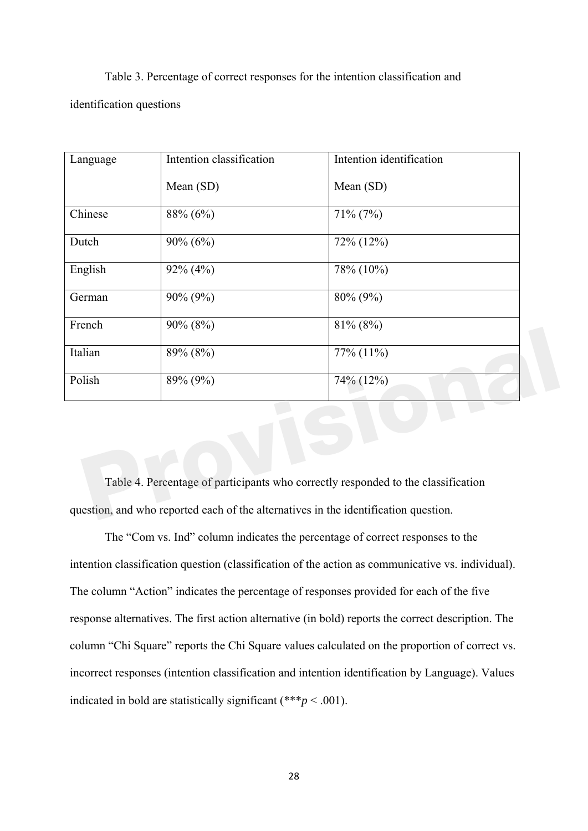Table 3. Percentage of correct responses for the intention classification and identification questions

| Language                                                                            | Intention classification | Intention identification |  |  |
|-------------------------------------------------------------------------------------|--------------------------|--------------------------|--|--|
|                                                                                     | Mean (SD)                | Mean (SD)                |  |  |
| Chinese                                                                             | 88% (6%)                 | $71\% (7\%)$             |  |  |
| Dutch                                                                               | $90\% (6\%)$             | 72% (12%)                |  |  |
| English                                                                             | $92\% (4\%)$             | 78% (10%)                |  |  |
| German                                                                              | 90% (9%)                 | 80% (9%)                 |  |  |
| French                                                                              | $90\% (8\%)$             | $81\% (8\%)$             |  |  |
| Italian                                                                             | 89% (8%)                 | 77% (11%)                |  |  |
| Polish                                                                              | 89% (9%)                 | 74% (12%)                |  |  |
|                                                                                     |                          |                          |  |  |
|                                                                                     |                          |                          |  |  |
|                                                                                     |                          |                          |  |  |
| Table 4. Percentage of participants who correctly responded to the classification   |                          |                          |  |  |
| question, and who reported each of the alternatives in the identification question. |                          |                          |  |  |

The "Com vs. Ind" column indicates the percentage of correct responses to the intention classification question (classification of the action as communicative vs. individual). The column "Action" indicates the percentage of responses provided for each of the five response alternatives. The first action alternative (in bold) reports the correct description. The column "Chi Square" reports the Chi Square values calculated on the proportion of correct vs. incorrect responses (intention classification and intention identification by Language). Values indicated in bold are statistically significant  $(***p < .001)$ .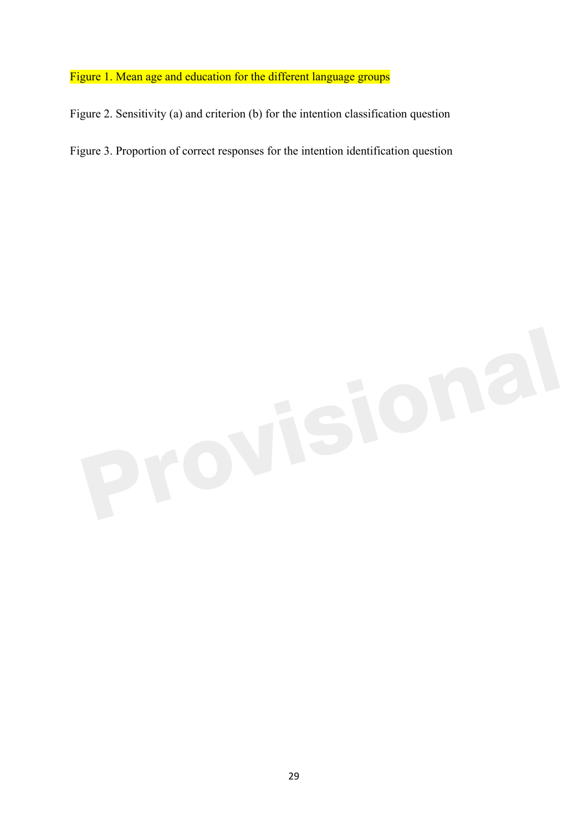## Figure 1. Mean age and education for the different language groups

Figure 2. Sensitivity (a) and criterion (b) for the intention classification question

Figure 3. Proportion of correct responses for the intention identification question

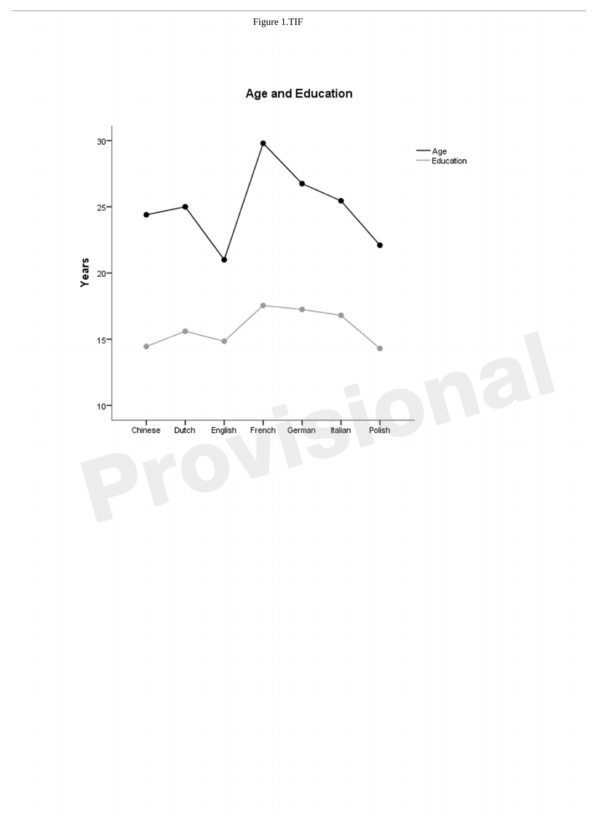

Age and Education

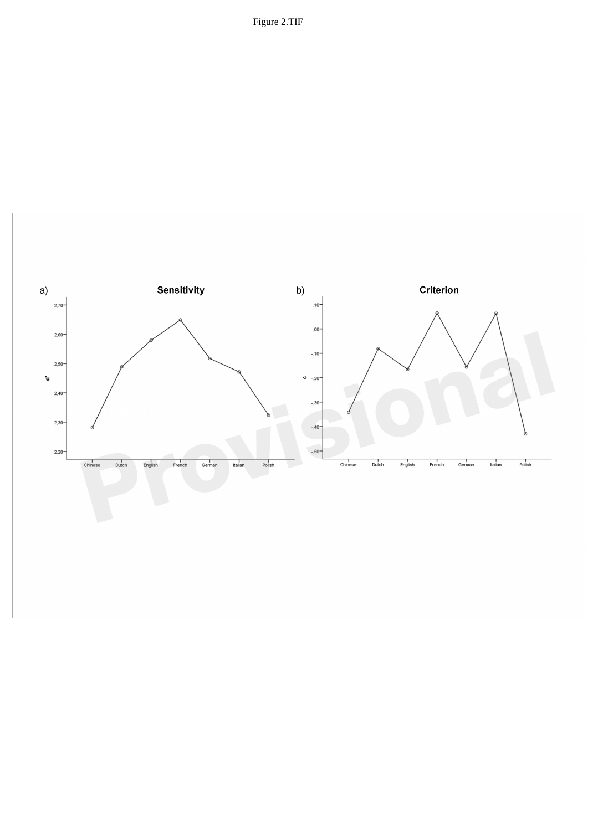